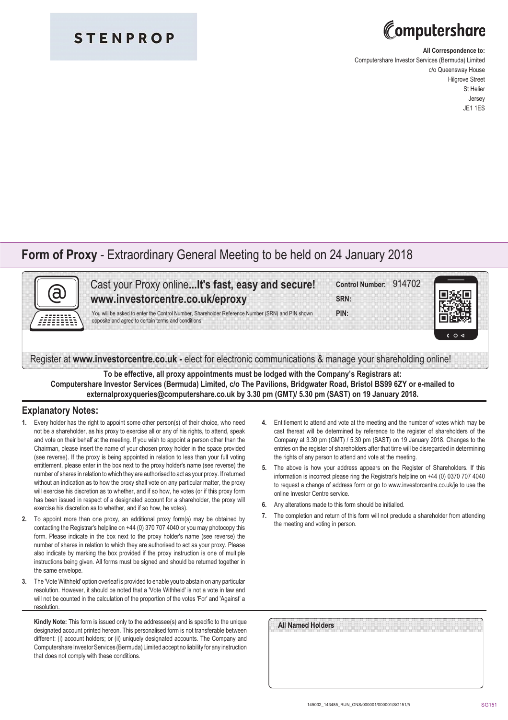### **STENPROP**

# Computershare

#### **All Correspondence to:**

Computershare Investor Services (Bermuda) Limited c/o Queensway House Hilgrove Street St Helier Jersey JE1 1ES

### **Form of Proxy** - Extraordinary General Meeting to be held on 24 January 2018



Cast your Proxy online**...It's fast, easy and secure! www.investorcentre.co.uk/eproxy**

You will be asked to enter the Control Number, Shareholder Reference Number (SRN) and PIN shown opposite and agree to certain terms and conditions.

| Control Number: 914702 |  |  |  |
|------------------------|--|--|--|
|                        |  |  |  |
|                        |  |  |  |
|                        |  |  |  |
| SRN:                   |  |  |  |
|                        |  |  |  |
|                        |  |  |  |

**PIN:**



Register at **www.investorcentre.co.uk -** elect for electronic communications & manage your shareholding online!

**To be effective, all proxy appointments must be lodged with the Company's Registrars at: Computershare Investor Services (Bermuda) Limited, c/o The Pavilions, Bridgwater Road, Bristol BS99 6ZY or e-mailed to externalproxyqueries@computershare.co.uk by 3.30 pm (GMT)/ 5.30 pm (SAST) on 19 January 2018.**

### **Explanatory Notes:**

- **1.** Every holder has the right to appoint some other person(s) of their choice, who need not be a shareholder, as his proxy to exercise all or any of his rights, to attend, speak and vote on their behalf at the meeting. If you wish to appoint a person other than the Chairman, please insert the name of your chosen proxy holder in the space provided (see reverse). If the proxy is being appointed in relation to less than your full voting entitlement, please enter in the box next to the proxy holder's name (see reverse) the number of shares in relation to which they are authorised to act as your proxy. If returned without an indication as to how the proxy shall vote on any particular matter, the proxy will exercise his discretion as to whether, and if so how, he votes (or if this proxy form has been issued in respect of a designated account for a shareholder, the proxy will exercise his discretion as to whether, and if so how, he votes).
- **2.** To appoint more than one proxy, an additional proxy form(s) may be obtained by contacting the Registrar's helpline on +44 (0) 370 707 4040 or you may photocopy this form. Please indicate in the box next to the proxy holder's name (see reverse) the number of shares in relation to which they are authorised to act as your proxy. Please also indicate by marking the box provided if the proxy instruction is one of multiple instructions being given. All forms must be signed and should be returned together in the same envelope.
- **3.** The 'Vote Withheld' option overleaf is provided to enable you to abstain on any particular resolution. However, it should be noted that a 'Vote Withheld' is not a vote in law and will not be counted in the calculation of the proportion of the votes 'For' and 'Against' a resolution

**Kindly Note:** This form is issued only to the addressee(s) and is specific to the unique designated account printed hereon. This personalised form is not transferable between different: (i) account holders; or (ii) uniquely designated accounts. The Company and Computershare Investor Services (Bermuda) Limited accept no liability for any instruction that does not comply with these conditions.

- **4.** Entitlement to attend and vote at the meeting and the number of votes which may be cast thereat will be determined by reference to the register of shareholders of the Company at 3.30 pm (GMT) / 5.30 pm (SAST) on 19 January 2018. Changes to the entries on the register of shareholders after that time will be disregarded in determining the rights of any person to attend and vote at the meeting.
- **5.** The above is how your address appears on the Register of Shareholders. If this information is incorrect please ring the Registrar's helpline on +44 (0) 0370 707 4040 to request a change of address form or go to www.investorcentre.co.uk/je to use the online Investor Centre service.
- **6.** Any alterations made to this form should be initialled.
- **7.** The completion and return of this form will not preclude a shareholder from attending the meeting and voting in person.

| All Named Holders |  |  |  |
|-------------------|--|--|--|
|                   |  |  |  |
|                   |  |  |  |
|                   |  |  |  |
|                   |  |  |  |